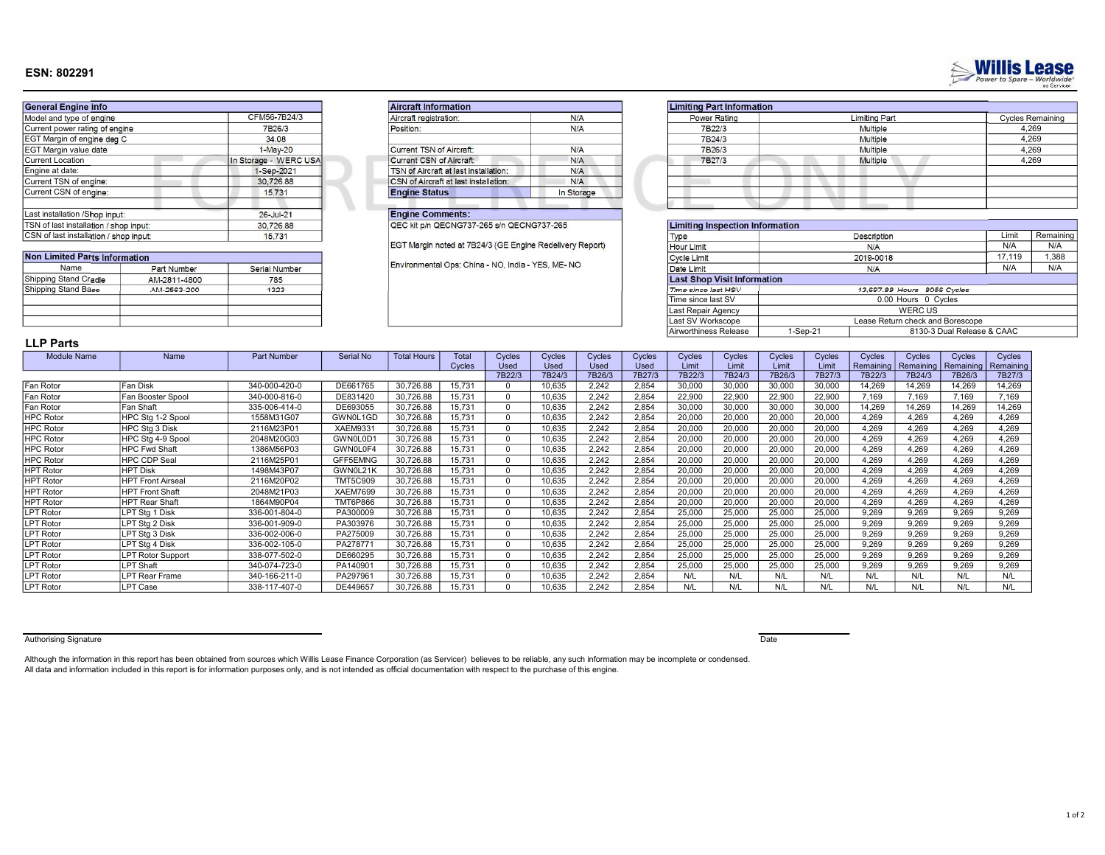## ESN: 802291

| <b>General Engine info</b>             |                       | <b>Aircraft Information</b>                  |            | <b>Limiting Part Information</b>  |  |
|----------------------------------------|-----------------------|----------------------------------------------|------------|-----------------------------------|--|
| Model and type of engine               | CFM56-7B24/3          | Aircraft registration:                       | N/A        | Power Rating                      |  |
| Current power rating of engine         | 7B26/3                | Position:                                    | N/A        | 7B22/3                            |  |
| EGT Margin of engine deg C             | 34.08                 |                                              |            | 7B24/3                            |  |
| EGT Margin value date                  | $1-May-20$            | Current TSN of Aircraft:                     | N/A        | 7B26/3                            |  |
| <b>Current Location</b>                | In Storage - WERC USA | Current CSN of Aircraft:                     | N/A        | 7B27/3                            |  |
| Engine at date:                        | 1-Sep-2021            | TSN of Aircraft at last installation:        | N/A        |                                   |  |
| Current TSN of engine:                 | 30,726.88             | <b>CSN</b> of Aircraft at last installation: | N/A        |                                   |  |
| Current CSN of enaine:                 | 15.731                | <b>Engine Status</b>                         | In Storage |                                   |  |
| Last installation /Shop input:         | 26-Jul-21             | <b>Engine Comments:</b>                      |            |                                   |  |
| TSN of last installation / shop input: | 30,726.88             | QEC kit p/n QECNG737-265 s/n QECNG737-265    |            | <b>Limiting Inspection Inform</b> |  |
| CSN of last installation / shop input: | 15.731                |                                              |            | Type                              |  |

| Non Limited Parts Information |                    |               |  |  |  |  |  |
|-------------------------------|--------------------|---------------|--|--|--|--|--|
| Name                          | <b>Part Number</b> | Serial Number |  |  |  |  |  |
| Shipping Stand Cradle         | AM-2811-4800       | 785           |  |  |  |  |  |
| Shipping Stand Base           | AM-2563-200        | 1323          |  |  |  |  |  |
|                               |                    |               |  |  |  |  |  |
|                               |                    |               |  |  |  |  |  |
|                               |                    |               |  |  |  |  |  |

| Aircraft registration:                | N/A        |
|---------------------------------------|------------|
| Position:                             | N/A        |
| Current TSN of Aircraft:              | N/A        |
| <b>Current CSN of Aircraft:</b>       | N/A        |
| TSN of Aircraft at last installation: | N/A        |
| CSN of Aircraft at last installation: | N/A        |
| <b>Engine Status</b>                  | In Storage |

| N/A     | Power Rating | <b>Limiting Part</b> | <b>Cycles Remaining</b> |
|---------|--------------|----------------------|-------------------------|
| N/A     | 7B22/3       | <b>Multiple</b>      | 4,269                   |
|         | 7B24/3       | <b>Multiple</b>      | 4,269                   |
| N/A     | 7B26/3       | Multiple             | 4,269                   |
| N/A     | 7B27/3       | <b>Multiple</b>      | 4,269                   |
| N/A     |              |                      |                         |
| N/A     |              |                      |                         |
| storage |              |                      |                         |
|         |              |                      |                         |

| TSN of last installation / shop input: |              | 30,726.88     | QEC kit p/n QECNG737-265 s/n QECNG737-265                | <b>Limiting Inspection Information</b> |          |                                  |        |           |
|----------------------------------------|--------------|---------------|----------------------------------------------------------|----------------------------------------|----------|----------------------------------|--------|-----------|
| CSN of last installation / shop input  |              | 15,731        |                                                          | Type                                   |          | <b>Description</b>               | Limit  | Remaining |
|                                        |              |               | EGT Margin noted at 7B24/3 (GE Engine Redelivery Report) | <b>Hour Limit</b>                      |          | N/A                              | N/A    | N/A       |
| <b>Non Limited Parts Information</b>   |              |               |                                                          | Cycle Limit                            |          | 2019-0018                        | 17.119 | 1.388     |
| Name                                   | Part Number  | Serial Number | Environmental Ops: China - NO. India - YES. ME- NO       | Date Limit                             |          | N/A                              | N/A    | N/A       |
| Shipping Stand Cradle                  | AM-2811-4800 | 785           |                                                          | <b>Last Shop Visit Information</b>     |          |                                  |        |           |
| Shipping Stand Base                    | AM-2563-200  | 1323          |                                                          | Time since last HSV                    |          | 13,697.88 Hours 8056 Cycles      |        |           |
|                                        |              |               |                                                          | Time since last SV                     |          | 0.00 Hours 0 Cycles              |        |           |
|                                        |              |               |                                                          | Last Repair Agency                     |          | <b>WERC US</b>                   |        |           |
|                                        |              |               |                                                          | Last SV Workscope                      |          | Lease Return check and Borescope |        |           |
|                                        |              |               |                                                          | Airworthiness Release                  | 1-Sep-21 | 8130-3 Dual Release & CAAC       |        |           |

# LLP Parts

| בווא זבובו         |                          |               |                      |                    |        |        |             |        |        |        |        |        |        |           |           |           |           |
|--------------------|--------------------------|---------------|----------------------|--------------------|--------|--------|-------------|--------|--------|--------|--------|--------|--------|-----------|-----------|-----------|-----------|
| <b>Module Name</b> | Name                     | Part Number   | Serial No            | <b>Total Hours</b> | Total  | Cycles | Cycles      | Cycles | Cycles | Cycles | Cycles | Cycles | Cycles | Cycles    | Cycles    | Cycles    | Cycles    |
|                    |                          |               |                      |                    | Cycles | Used   | <b>Used</b> | Used   | Used   | Limit  | Limit  | Limit  | Limit  | Remaining | Remaining | Remaining | Remaining |
|                    |                          |               |                      |                    |        | 7B22/3 | 7B24/3      | 7B26/3 | 7B27/3 | 7B22/3 | 7B24/3 | 7B26/3 | 7B27/3 | 7B22/3    | 7B24/3    | 7B26/3    | 7B27/3    |
| Fan Rotor          | Fan Disk                 | 340-000-420-0 | DE661765             | 30.726.88          | 15,731 |        | 10,635      | 2.242  | 2.854  | 30,000 | 30,000 | 30,000 | 30,000 | 14.269    | 14,269    | 14,269    | 14,269    |
| Fan Rotor          | Fan Booster Spool        | 340-000-816-0 | DE831420             | 30.726.88          | 15.731 |        | 10.635      | 2.242  | 2.854  | 22,900 | 22,900 | 22,900 | 22,900 | 7.169     | 7.169     | 7.169     | 7,169     |
| Fan Rotor          | Fan Shaft                | 335-006-414-0 | DE693055             | 30.726.88          | 15,731 |        | 10,635      | 2.242  | 2,854  | 30,000 | 30,000 | 30,000 | 30,000 | 14.269    | 14,269    | 14,269    | 14,269    |
| <b>HPC Rotor</b>   | HPC Stg 1-2 Spool        | 1558M31G07    | GWN0L1GD             | 30.726.88          | 15.731 |        | 10.635      | 2.242  | 2.854  | 20,000 | 20,000 | 20,000 | 20,000 | 4.269     | 4.269     | 4.269     | 4.269     |
| <b>HPC Rotor</b>   | <b>HPC Sta 3 Disk</b>    | 2116M23P01    | XAEM9331             | 30.726.88          | 15.731 |        | 10,635      | 2.242  | 2.854  | 20,000 | 20.000 | 20,000 | 20,000 | 4.269     | 4.269     | 4.269     | 4.269     |
| <b>HPC Rotor</b>   | HPC Stg 4-9 Spool        | 2048M20G03    | GWN0L0D <sup>®</sup> | 30,726.88          | 15,731 |        | 10,635      | 2.242  | 2,854  | 20,000 | 20,000 | 20,000 | 20,000 | 4.269     | 4.269     | 4.269     | 4,269     |
| <b>HPC Rotor</b>   | <b>HPC Fwd Shaft</b>     | 1386M56P03    | GWN0L0F4             | 30.726.88          | 15.731 |        | 10.635      | 2.242  | 2.854  | 20,000 | 20.000 | 20,000 | 20,000 | 4.269     | 4.269     | 4.269     | 4.269     |
| <b>HPC Rotor</b>   | HPC CDP Seal             | 2116M25P01    | GFF5EMNG             | 30,726.88          | 15,731 |        | 10,635      | 2.242  | 2,854  | 20,000 | 20,000 | 20,000 | 20,000 | 4.269     | 4,269     | 4.269     | 4,269     |
| <b>HPT Rotor</b>   | <b>HPT Disk</b>          | 1498M43P07    | GWN0L21K             | 30,726.88          | 15.731 |        | 10,635      | 2.242  | 2,854  | 20,000 | 20,000 | 20,000 | 20,000 | 4.269     | 4.269     | 4.269     | 4.269     |
| <b>HPT Rotor</b>   | <b>HPT Front Airseal</b> | 2116M20P02    | <b>TMT5C909</b>      | 30.726.88          | 15,731 |        | 10,635      | 2.242  | 2.854  | 20,000 | 20,000 | 20,000 | 20,000 | 4.269     | 4.269     | 4.269     | 4.269     |
| <b>HPT Rotor</b>   | <b>HPT Front Shaft</b>   | 2048M21P03    | <b>XAEM7699</b>      | 30.726.88          | 15.731 |        | 10,635      | 2.242  | 2.854  | 20,000 | 20,000 | 20,000 | 20,000 | 4.269     | 4.269     | 4.269     | 4,269     |
| <b>HPT Rotor</b>   | <b>HPT Rear Shaft</b>    | 1864M90P04    | <b>TMT6P866</b>      | 30.726.88          | 15.731 |        | 10,635      | 2.242  | 2.854  | 20,000 | 20,000 | 20,000 | 20,000 | 4.269     | 4.269     | 4.269     | 4.269     |
| <b>LPT Rotor</b>   | <b>LPT Sta 1 Disk</b>    | 336-001-804-0 | PA300009             | 30.726.88          | 15.731 |        | 10,635      | 2.242  | 2.854  | 25,000 | 25,000 | 25,000 | 25,000 | 9.269     | 9.269     | 9.269     | 9.269     |
| <b>LPT Rotor</b>   | LPT Stg 2 Disk           | 336-001-909-0 | PA303976             | 30.726.88          | 15,731 |        | 10,635      | 2.242  | 2.854  | 25,000 | 25,000 | 25,000 | 25,000 | 9.269     | 9.269     | 9.269     | 9.269     |
| <b>LPT Rotor</b>   | LPT Stg 3 Disk           | 336-002-006-0 | PA275009             | 30.726.88          | 15,731 |        | 10,635      | 2.242  | 2,854  | 25,000 | 25,000 | 25,000 | 25,000 | 9.269     | 9.269     | 9.269     | 9.269     |
| <b>LPT Rotor</b>   | <b>LPT Sta 4 Disk</b>    | 336-002-105-0 | PA27877              | 30.726.88          | 15.731 |        | 10,635      | 2.242  | 2.854  | 25,000 | 25,000 | 25,000 | 25,000 | 9.269     | 9.269     | 9.269     | 9.269     |
| <b>LPT Rotor</b>   | <b>LPT Rotor Support</b> | 338-077-502-0 | DE660295             | 30,726.88          | 15,731 |        | 10,635      | 2.242  | 2,854  | 25,000 | 25,000 | 25,000 | 25,000 | 9.269     | 9.269     | 9.269     | 9,269     |
| <b>LPT Rotor</b>   | <b>LPT Shaft</b>         | 340-074-723-0 | PA140901             | 30,726.88          | 15,731 |        | 10,635      | 2.242  | 2,854  | 25,000 | 25,000 | 25,000 | 25,000 | 9.269     | 9.269     | 9.269     | 9,269     |
| <b>LPT Rotor</b>   | <b>LPT Rear Frame</b>    | 340-166-211-0 | PA297961             | 30.726.88          | 15,731 |        | 10,635      | 2.242  | 2.854  | N/L    | N/L    | N/L    | N/L    | N/L       | N/L       | N/L       | N/L       |
| <b>LPT Rotor</b>   | <b>LPT Case</b>          | 338-117-407-0 | DE449657             | 30.726.88          | 15.731 |        | 0.635       | 2.242  | 2.854  | N/L    | N/l    | N/L    | N/L    | N/L       | N/L       | N/L       | N/L       |

Authorising Signature **Date** 

Although the information in this report has been obtained from sources which Willis Lease Finance Corporation (as Servicer) believes to be reliable, any such information may be incomplete or condensed. All data and information included in this report is for information purposes only, and is not intended as official documentation with respect to the purchase of this engine.